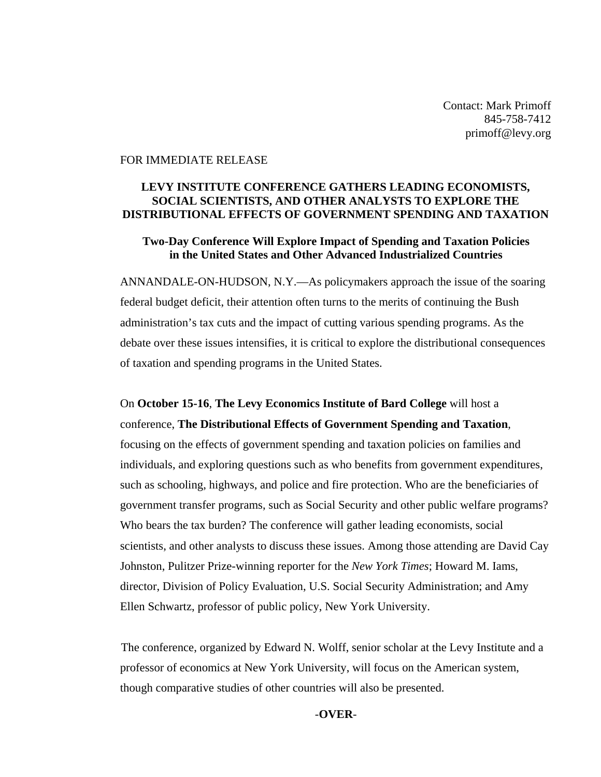Contact: Mark Primoff 845-758-7412 primoff@levy.org

#### FOR IMMEDIATE RELEASE

### **LEVY INSTITUTE CONFERENCE GATHERS LEADING ECONOMISTS, SOCIAL SCIENTISTS, AND OTHER ANALYSTS TO EXPLORE THE DISTRIBUTIONAL EFFECTS OF GOVERNMENT SPENDING AND TAXATION**

### **Two-Day Conference Will Explore Impact of Spending and Taxation Policies in the United States and Other Advanced Industrialized Countries**

ANNANDALE-ON-HUDSON, N.Y.—As policymakers approach the issue of the soaring federal budget deficit, their attention often turns to the merits of continuing the Bush administration's tax cuts and the impact of cutting various spending programs. As the debate over these issues intensifies, it is critical to explore the distributional consequences of taxation and spending programs in the United States.

On **October 15-16**, **The Levy Economics Institute of Bard College** will host a conference, **The Distributional Effects of Government Spending and Taxation**, focusing on the effects of government spending and taxation policies on families and individuals, and exploring questions such as who benefits from government expenditures, such as schooling, highways, and police and fire protection. Who are the beneficiaries of government transfer programs, such as Social Security and other public welfare programs? Who bears the tax burden? The conference will gather leading economists, social scientists, and other analysts to discuss these issues. Among those attending are David Cay Johnston, Pulitzer Prize-winning reporter for the *New York Times*; Howard M. Iams, director, Division of Policy Evaluation, U.S. Social Security Administration; and Amy Ellen Schwartz, professor of public policy, New York University.

The conference, organized by Edward N. Wolff, senior scholar at the Levy Institute and a professor of economics at New York University, will focus on the American system, though comparative studies of other countries will also be presented.

#### *-***OVER***-*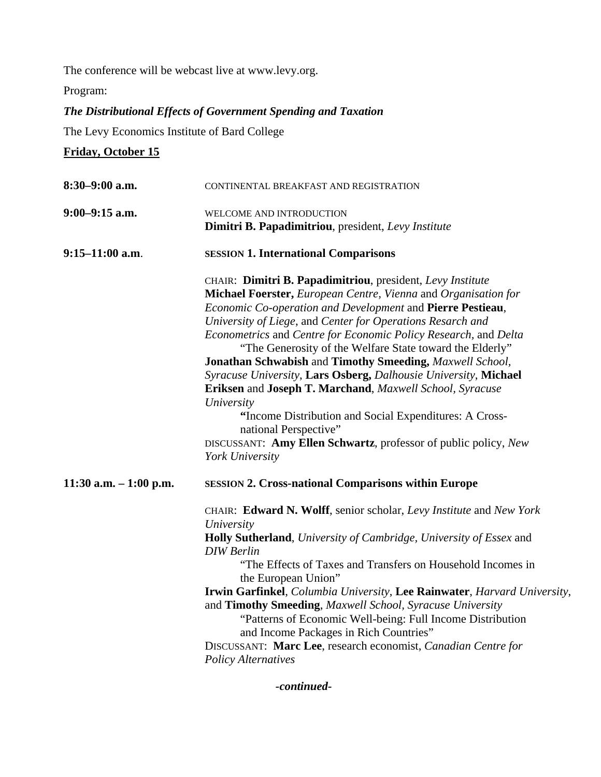The conference will be webcast live at www.levy.org.

Program:

# *The Distributional Effects of Government Spending and Taxation*

The Levy Economics Institute of Bard College

**Friday, October 15**

| $8:30-9:00$ a.m.        | CONTINENTAL BREAKFAST AND REGISTRATION                                                                                                                                                                                                                                                                                                                                                                                                                                                                                                                                                                                                                                                                                                                                           |
|-------------------------|----------------------------------------------------------------------------------------------------------------------------------------------------------------------------------------------------------------------------------------------------------------------------------------------------------------------------------------------------------------------------------------------------------------------------------------------------------------------------------------------------------------------------------------------------------------------------------------------------------------------------------------------------------------------------------------------------------------------------------------------------------------------------------|
| $9:00-9:15$ a.m.        | WELCOME AND INTRODUCTION<br>Dimitri B. Papadimitriou, president, Levy Institute                                                                                                                                                                                                                                                                                                                                                                                                                                                                                                                                                                                                                                                                                                  |
| $9:15-11:00$ a.m.       | <b>SESSION 1. International Comparisons</b>                                                                                                                                                                                                                                                                                                                                                                                                                                                                                                                                                                                                                                                                                                                                      |
|                         | CHAIR: Dimitri B. Papadimitriou, president, Levy Institute<br>Michael Foerster, European Centre, Vienna and Organisation for<br>Economic Co-operation and Development and Pierre Pestieau,<br>University of Liege, and Center for Operations Resarch and<br>Econometrics and Centre for Economic Policy Research, and Delta<br>"The Generosity of the Welfare State toward the Elderly"<br><b>Jonathan Schwabish and Timothy Smeeding, Maxwell School,</b><br>Syracuse University, Lars Osberg, Dalhousie University, Michael<br>Eriksen and Joseph T. Marchand, Maxwell School, Syracuse<br>University<br>"Income Distribution and Social Expenditures: A Cross-<br>national Perspective"<br>DISCUSSANT: Amy Ellen Schwartz, professor of public policy, New<br>York University |
| 11:30 a.m. $-1:00$ p.m. | <b>SESSION 2. Cross-national Comparisons within Europe</b>                                                                                                                                                                                                                                                                                                                                                                                                                                                                                                                                                                                                                                                                                                                       |
|                         | CHAIR: Edward N. Wolff, senior scholar, Levy Institute and New York<br>University<br>Holly Sutherland, University of Cambridge, University of Essex and<br><b>DIW</b> Berlin<br>"The Effects of Taxes and Transfers on Household Incomes in<br>the European Union"<br>Irwin Garfinkel, Columbia University, Lee Rainwater, Harvard University,<br>and Timothy Smeeding, Maxwell School, Syracuse University<br>"Patterns of Economic Well-being: Full Income Distribution<br>and Income Packages in Rich Countries"<br>DISCUSSANT: Marc Lee, research economist, Canadian Centre for<br><b>Policy Alternatives</b>                                                                                                                                                               |

*-continued-*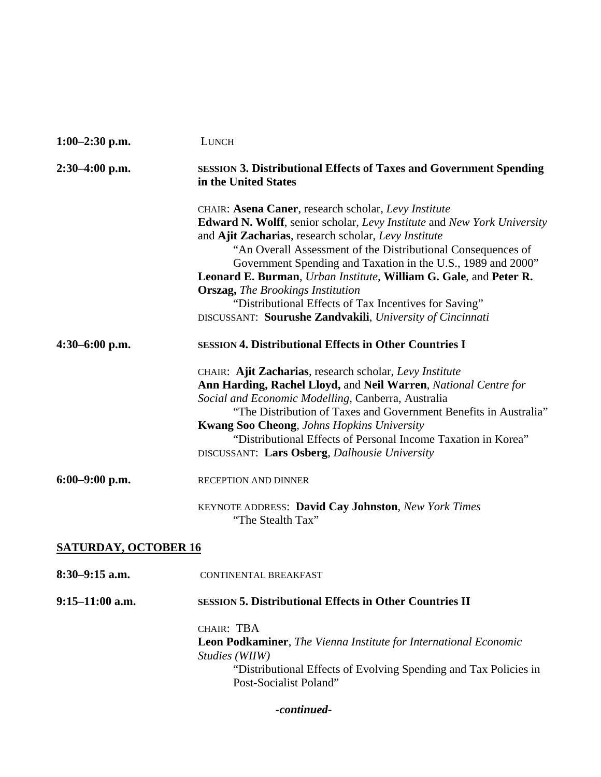| $1:00-2:30$ p.m.            | LUNCH                                                                                                                                                                                                                                                                                                                                                                                                                       |
|-----------------------------|-----------------------------------------------------------------------------------------------------------------------------------------------------------------------------------------------------------------------------------------------------------------------------------------------------------------------------------------------------------------------------------------------------------------------------|
| $2:30-4:00$ p.m.            | <b>SESSION 3. Distributional Effects of Taxes and Government Spending</b><br>in the United States                                                                                                                                                                                                                                                                                                                           |
|                             | CHAIR: Asena Caner, research scholar, Levy Institute<br><b>Edward N. Wolff</b> , senior scholar, Levy Institute and New York University<br>and Ajit Zacharias, research scholar, Levy Institute<br>"An Overall Assessment of the Distributional Consequences of<br>Government Spending and Taxation in the U.S., 1989 and 2000"<br>Leonard E. Burman, Urban Institute, William G. Gale, and Peter R.                        |
|                             | <b>Orszag, The Brookings Institution</b><br>"Distributional Effects of Tax Incentives for Saving"                                                                                                                                                                                                                                                                                                                           |
|                             | DISCUSSANT: Sourushe Zandvakili, University of Cincinnati                                                                                                                                                                                                                                                                                                                                                                   |
| $4:30-6:00$ p.m.            | <b>SESSION 4. Distributional Effects in Other Countries I</b>                                                                                                                                                                                                                                                                                                                                                               |
|                             | CHAIR: Ajit Zacharias, research scholar, Levy Institute<br>Ann Harding, Rachel Lloyd, and Neil Warren, National Centre for<br>Social and Economic Modelling, Canberra, Australia<br>"The Distribution of Taxes and Government Benefits in Australia"<br><b>Kwang Soo Cheong, Johns Hopkins University</b><br>"Distributional Effects of Personal Income Taxation in Korea"<br>DISCUSSANT: Lars Osberg, Dalhousie University |
| $6:00-9:00$ p.m.            | RECEPTION AND DINNER                                                                                                                                                                                                                                                                                                                                                                                                        |
|                             | KEYNOTE ADDRESS: David Cay Johnston, New York Times<br>"The Stealth Tax"                                                                                                                                                                                                                                                                                                                                                    |
| <b>SATURDAY, OCTOBER 16</b> |                                                                                                                                                                                                                                                                                                                                                                                                                             |
| $8:30-9:15$ a.m.            | CONTINENTAL BREAKFAST                                                                                                                                                                                                                                                                                                                                                                                                       |
| $9:15-11:00$ a.m.           | <b>SESSION 5. Distributional Effects in Other Countries II</b>                                                                                                                                                                                                                                                                                                                                                              |
|                             | CHAIR: TBA<br><b>Leon Podkaminer, The Vienna Institute for International Economic</b><br>Studies (WIIW)<br>"Distributional Effects of Evolving Spending and Tax Policies in<br>Post-Socialist Poland"                                                                                                                                                                                                                       |

*-continued-*